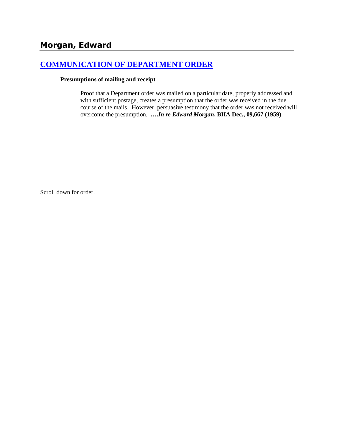## **[COMMUNICATION OF DEPARTMENT ORDER](http://www.biia.wa.gov/SDSubjectIndex.html#COMMUNICATION_OF_DEPARTMENT_ORDER)**

#### **Presumptions of mailing and receipt**

Proof that a Department order was mailed on a particular date, properly addressed and with sufficient postage, creates a presumption that the order was received in the due course of the mails. However, persuasive testimony that the order was not received will overcome the presumption. **….***In re Edward Morgan***, BIIA Dec., 09,667 (1959)**

Scroll down for order.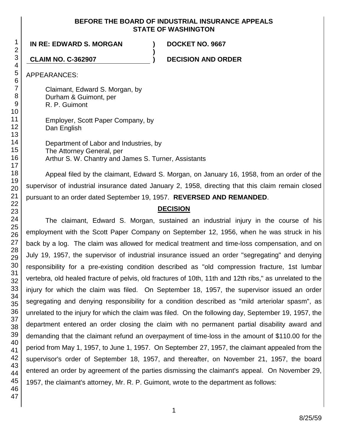#### **BEFORE THE BOARD OF INDUSTRIAL INSURANCE APPEALS STATE OF WASHINGTON**

**)**

**IN RE: EDWARD S. MORGAN ) DOCKET NO. 9667**

**CLAIM NO. C-362907 ) DECISION AND ORDER**

APPEARANCES:

Claimant, Edward S. Morgan, by Durham & Guimont, per R. P. Guimont

Employer, Scott Paper Company, by Dan English

Department of Labor and Industries, by The Attorney General, per Arthur S. W. Chantry and James S. Turner, Assistants

Appeal filed by the claimant, Edward S. Morgan, on January 16, 1958, from an order of the supervisor of industrial insurance dated January 2, 1958, directing that this claim remain closed pursuant to an order dated September 19, 1957. **REVERSED AND REMANDED**.

#### **DECISION**

The claimant, Edward S. Morgan, sustained an industrial injury in the course of his employment with the Scott Paper Company on September 12, 1956, when he was struck in his back by a log. The claim was allowed for medical treatment and time-loss compensation, and on July 19, 1957, the supervisor of industrial insurance issued an order "segregating" and denying responsibility for a pre-existing condition described as "old compression fracture, 1st lumbar vertebra, old healed fracture of pelvis, old fractures of 10th, 11th and 12th ribs," as unrelated to the injury for which the claim was filed. On September 18, 1957, the supervisor issued an order segregating and denying responsibility for a condition described as "mild arteriolar spasm", as unrelated to the injury for which the claim was filed. On the following day, September 19, 1957, the department entered an order closing the claim with no permanent partial disability award and demanding that the claimant refund an overpayment of time-loss in the amount of \$110.00 for the period from May 1, 1957, to June 1, 1957. On September 27, 1957, the claimant appealed from the supervisor's order of September 18, 1957, and thereafter, on November 21, 1957, the board entered an order by agreement of the parties dismissing the claimant's appeal. On November 29, 1957, the claimant's attorney, Mr. R. P. Guimont, wrote to the department as follows: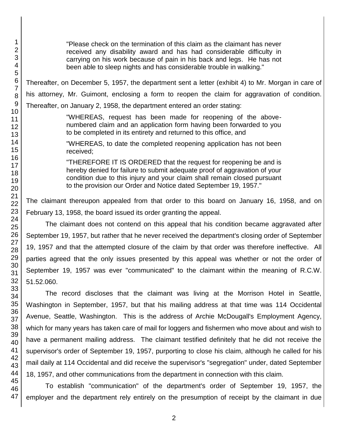"Please check on the termination of this claim as the claimant has never received any disability award and has had considerable difficulty in carrying on his work because of pain in his back and legs. He has not been able to sleep nights and has considerable trouble in walking."

Thereafter, on December 5, 1957, the department sent a letter (exhibit 4) to Mr. Morgan in care of his attorney, Mr. Guimont, enclosing a form to reopen the claim for aggravation of condition. Thereafter, on January 2, 1958, the department entered an order stating:

> "WHEREAS, request has been made for reopening of the abovenumbered claim and an application form having been forwarded to you to be completed in its entirety and returned to this office, and

> "WHEREAS, to date the completed reopening application has not been received;

> "THEREFORE IT IS ORDERED that the request for reopening be and is hereby denied for failure to submit adequate proof of aggravation of your condition due to this injury and your claim shall remain closed pursuant to the provision our Order and Notice dated September 19, 1957."

The claimant thereupon appealed from that order to this board on January 16, 1958, and on February 13, 1958, the board issued its order granting the appeal.

The claimant does not contend on this appeal that his condition became aggravated after September 19, 1957, but rather that he never received the department's closing order of September 19, 1957 and that the attempted closure of the claim by that order was therefore ineffective. All parties agreed that the only issues presented by this appeal was whether or not the order of September 19, 1957 was ever "communicated" to the claimant within the meaning of R.C.W. 51.52.060.

The record discloses that the claimant was living at the Morrison Hotel in Seattle, Washington in September, 1957, but that his mailing address at that time was 114 Occidental Avenue, Seattle, Washington. This is the address of Archie McDougall's Employment Agency, which for many years has taken care of mail for loggers and fishermen who move about and wish to have a permanent mailing address. The claimant testified definitely that he did not receive the supervisor's order of September 19, 1957, purporting to close his claim, although he called for his mail daily at 114 Occidental and did receive the supervisor's "segregation" under, dated September 18, 1957, and other communications from the department in connection with this claim.

To establish "communication" of the department's order of September 19, 1957, the employer and the department rely entirely on the presumption of receipt by the claimant in due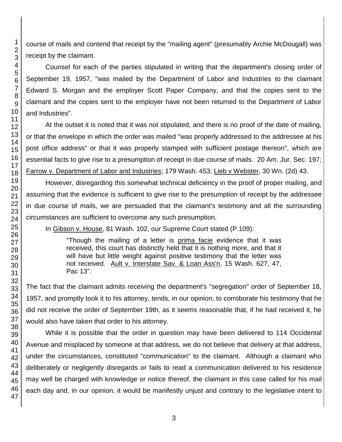course of mails and contend that receipt by the "mailing agent" (presumably Archie McDougall) was receipt by the claimant.

Counsel for each of the parties stipulated in writing that the department's closing order of September 19, 1957, "was mailed by the Department of Labor and Industries to the claimant Edward S. Morgan and the employer Scott Paper Company, and that the copies sent to the claimant and the copies sent to the employer have not been returned to the Department of Labor and Industries".

At the outset it is noted that it was not stipulated, and there is no proof of the date of mailing, or that the envelope in which the order was mailed "was properly addressed to the addressee at his post office address" or that it was properly stamped with sufficient postage thereon", which are essential facts to give rise to a presumption of receipt in due course of mails. 20 Am. Jur. Sec. 197; Farrow v. Department of Labor and Industries; 179 Wash. 453; Lieb v Webster, 30 Wn. (2d) 43.

However, disregarding this somewhat technical deficiency in the proof of proper mailing, and assuming that the evidence is sufficient to give rise to the presumption of receipt by the addressee in due course of mails, we are persuaded that the claimant's testimony and all the surrounding circumstances are sufficient to overcome any such presumption.

In Gibson v. House, 81 Wash. 102, our Supreme Court stated (P.109):

"Though the mailing of a letter is prima facie evidence that it was received, this court has distinctly held that it is nothing more, and that it will have but little weight against positive testimony that the letter was not received. Ault v. Interstate Sav. & Loan Ass'n, 15 Wash. 627, 47, Pac 13".

The fact that the claimant admits receiving the department's "segregation" order of September 18, 1957, and promptly took it to his attorney, tends, in our opinion, to corroborate his testimony that he did not receive the order of September 19th, as it seems reasonable that, if he had received it, he would also have taken that order to his attorney.

While it is possible that the order in question may have been delivered to 114 Occidental Avenue and misplaced by someone at that address, we do not believe that delivery at that address, under the circumstances, constituted "communication" to the claimant. Although a claimant who deliberately or negligently disregards or fails to read a communication delivered to his residence may well be charged with knowledge or notice thereof, the claimant in this case called for his mail each day and, in our opinion, it would be manifestly unjust and contrary to the legislative intent to

1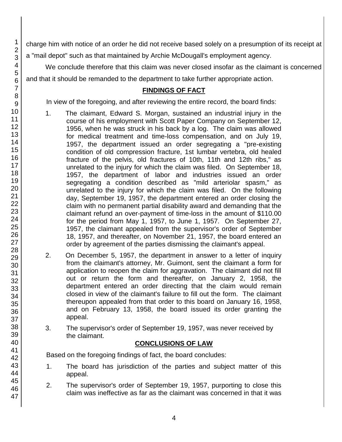charge him with notice of an order he did not receive based solely on a presumption of its receipt at a "mail depot" such as that maintained by Archie McDougall's employment agency.

We conclude therefore that this claim was never closed insofar as the claimant is concerned and that it should be remanded to the department to take further appropriate action.

## **FINDINGS OF FACT**

In view of the foregoing, and after reviewing the entire record, the board finds:

- 1. The claimant, Edward S. Morgan, sustained an industrial injury in the course of his employment with Scott Paper Company on September 12, 1956, when he was struck in his back by a log. The claim was allowed for medical treatment and time-loss compensation, and on July 19, 1957, the department issued an order segregating a "pre-existing condition of old compression fracture, 1st lumbar vertebra, old healed fracture of the pelvis, old fractures of 10th, 11th and 12th ribs," as unrelated to the injury for which the claim was filed. On September 18, 1957, the department of labor and industries issued an order segregating a condition described as "mild arteriolar spasm," as unrelated to the injury for which the claim was filed. On the following day, September 19, 1957, the department entered an order closing the claim with no permanent partial disability award and demanding that the claimant refund an over-payment of time-loss in the amount of \$110.00 for the period from May 1, 1957, to June 1, 1957. On September 27, 1957, the claimant appealed from the supervisor's order of September 18, 1957, and thereafter, on November 21, 1957, the board entered an order by agreement of the parties dismissing the claimant's appeal.
- 2. On December 5, 1957, the department in answer to a letter of inquiry from the claimant's attorney, Mr. Guimont, sent the claimant a form for application to reopen the claim for aggravation. The claimant did not fill out or return the form and thereafter, on January 2, 1958, the department entered an order directing that the claim would remain closed in view of the claimant's failure to fill out the form. The claimant thereupon appealed from that order to this board on January 16, 1958, and on February 13, 1958, the board issued its order granting the appeal.
- 3. The supervisor's order of September 19, 1957, was never received by the claimant.

## **CONCLUSIONS OF LAW**

Based on the foregoing findings of fact, the board concludes:

- 1. The board has jurisdiction of the parties and subject matter of this appeal.
- 2. The supervisor's order of September 19, 1957, purporting to close this claim was ineffective as far as the claimant was concerned in that it was